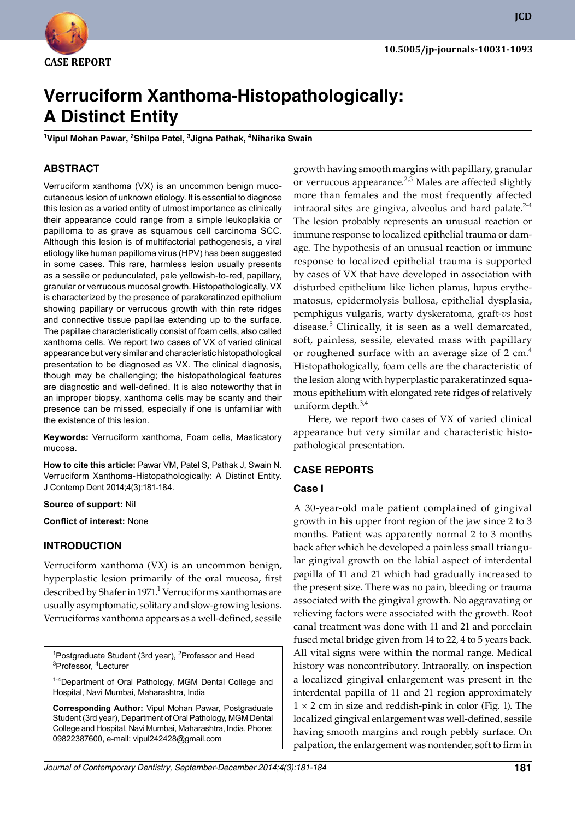

# **JCD**

# **Verruciform Xanthoma-Histopathologically: A Distinct Entity**

**<sup>1</sup>Vipul Mohan Pawar, 2Shilpa Patel, 3Jigna Pathak, 4Niharika Swain**

# **ABSTRACT**

Verruciform xanthoma (VX) is an uncommon benign mucocutaneous lesion of unknown etiology. It is essential to diagnose this lesion as a varied entity of utmost importance as clinically their appearance could range from a simple leukoplakia or papilloma to as grave as squamous cell carcinoma SCC. Although this lesion is of multifactorial pathogenesis, a viral etiology like human papilloma virus (HPV) has been suggested in some cases. This rare, harmless lesion usually presents as a sessile or pedunculated, pale yellowish-to-red, papillary, granular or verrucous mucosal growth. Histopathologically, VX is characterized by the presence of parakeratinzed epithelium showing papillary or verrucous growth with thin rete ridges and connective tissue papillae extending up to the surface. The papillae characteristically consist of foam cells, also called xanthoma cells. We report two cases of VX of varied clinical appearance but very similar and characteristic histopathological presentation to be diagnosed as VX. The clinical diagnosis, though may be challenging; the histopathological features are diagnostic and well-defined. It is also noteworthy that in an improper biopsy, xanthoma cells may be scanty and their presence can be missed, especially if one is unfamiliar with the existence of this lesion.

**Keywords:** Verruciform xanthoma, Foam cells, Masticatory mucosa.

**How to cite this article:** Pawar VM, Patel S, Pathak J, Swain N. Verruciform Xanthoma-Histopathologically: A Distinct Entity. J Contemp Dent 2014;4(3):181-184.

### **Source of support:** Nil

**Conflict of interest:** None

# **INTRoDuCTIoN**

Verruciform xanthoma (VX) is an uncommon benign, hyperplastic lesion primarily of the oral mucosa, first described by Shafer in 1971.<sup>1</sup> Verruciforms xanthomas are usually asymptomatic, solitary and slow-growing lesions. Verruciforms xanthoma appears as a well-defined, sessile

<sup>1</sup>Postgraduate Student (3rd year), <sup>2</sup>Professor and Head <sup>3</sup>Professor, 4Lecturer

<sup>1-4</sup>Department of Oral Pathology, MGM Dental College and Hospital, Navi Mumbai, Maharashtra, India

**Corresponding Author:** Vipul Mohan Pawar, Postgraduate Student (3rd year), Department of Oral Pathology, MGM Dental College and Hospital, Navi Mumbai, Maharashtra, India, Phone: 09822387600, e-mail: vipul242428@gmail.com

growth having smooth margins with papillary, granular or verrucous appearance. $2,3$  Males are affected slightly more than females and the most frequently affected intraoral sites are gingiva, alveolus and hard palate. $2-4$ The lesion probably represents an unusual reaction or immune response to localized epithelial trauma or damage. The hypothesis of an unusual reaction or immune response to localized epithelial trauma is supported by cases of VX that have developed in association with disturbed epithelium like lichen planus, lupus erythematosus, epidermolysis bullosa, epithelial dysplasia, pemphigus vulgaris, warty dyskeratoma, graft-*vs* host disease.<sup>5</sup> Clinically, it is seen as a well demarcated, soft, painless, sessile, elevated mass with papillary or roughened surface with an average size of  $2 \text{ cm}^4$ Histopathologically, foam cells are the characteristic of the lesion along with hyperplastic parakeratinzed squamous epithelium with elongated rete ridges of relatively uniform depth. $3,4$ 

Here, we report two cases of VX of varied clinical appearance but very similar and characteristic histopathological presentation.

# **CASE REPoRTS**

## **Case I**

A 30-year-old male patient complained of gingival growth in his upper front region of the jaw since 2 to 3 months. Patient was apparently normal 2 to 3 months back after which he developed a painless small triangular gingival growth on the labial aspect of interdental papilla of 11 and 21 which had gradually increased to the present size. There was no pain, bleeding or trauma associated with the gingival growth. No aggravating or relieving factors were associated with the growth. Root canal treatment was done with 11 and 21 and porcelain fused metal bridge given from 14 to 22, 4 to 5 years back. All vital signs were within the normal range. Medical history was noncontributory. Intraorally, on inspection a localized gingival enlargement was present in the interdental papilla of 11 and 21 region approximately  $1 \times 2$  cm in size and reddish-pink in color (Fig. 1). The localized gingival enlargement was well-defined, sessile having smooth margins and rough pebbly surface. On palpation, the enlargement was nontender, soft to firm in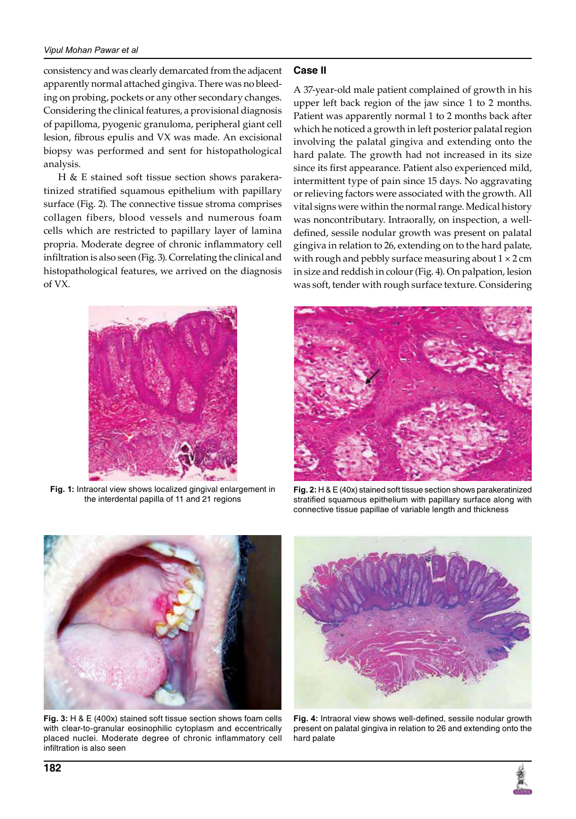#### *Vipul Mohan Pawar et al*

**Case II** 

consistency and was clearly demarcated from the adjacent apparently normal attached gingiva. There was no bleeding on probing, pockets or any other secondary changes. Considering the clinical features, a provisional diagnosis of papilloma, pyogenic granuloma, peripheral giant cell lesion, fibrous epulis and VX was made. An excisional biopsy was performed and sent for histopathological analysis.

H & E stained soft tissue section shows parakeratinized stratified squamous epithelium with papillary surface (Fig. 2). The connective tissue stroma comprises collagen fibers, blood vessels and numerous foam cells which are restricted to papillary layer of lamina propria. Moderate degree of chronic inflammatory cell infiltration is also seen (Fig. 3). Correlating the clinical and histopathological features, we arrived on the diagnosis of VX.

A 37-year-old male patient complained of growth in his upper left back region of the jaw since 1 to 2 months. Patient was apparently normal 1 to 2 months back after which he noticed a growth in left posterior palatal region involving the palatal gingiva and extending onto the hard palate. The growth had not increased in its size since its first appearance. Patient also experienced mild, intermittent type of pain since 15 days. No aggravating or relieving factors were associated with the growth. All vital signs were within the normal range. Medical history was noncontributary. Intraorally, on inspection, a welldefined, sessile nodular growth was present on palatal gingiva in relation to 26, extending on to the hard palate, with rough and pebbly surface measuring about  $1 \times 2$  cm in size and reddish in colour (Fig. 4). On palpation, lesion was soft, tender with rough surface texture. Considering



**Fig. 1:** Intraoral view shows localized gingival enlargement in the interdental papilla of 11 and 21 regions



**Fig. 2:** H & E (40x) stained soft tissue section shows parakeratinized stratified squamous epithelium with papillary surface along with connective tissue papillae of variable length and thickness



**Fig. 3:** H & E (400x) stained soft tissue section shows foam cells with clear-to-granular eosinophilic cytoplasm and eccentrically placed nuclei. Moderate degree of chronic inflammatory cell infiltration is also seen



**Fig. 4:** Intraoral view shows well-defined, sessile nodular growth present on palatal gingiva in relation to 26 and extending onto the hard palate

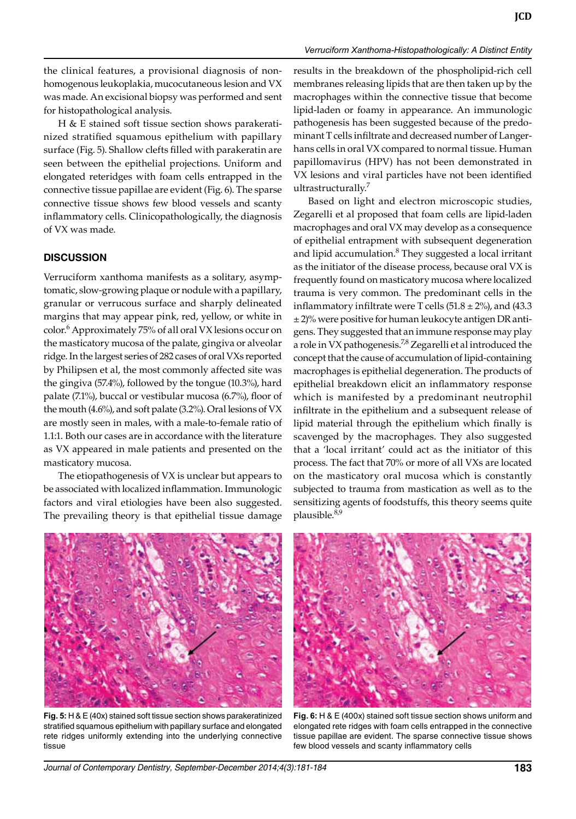the clinical features, a provisional diagnosis of nonhomogenous leukoplakia, mucocutaneous lesion and VX was made. An excisional biopsy was performed and sent for histopathological analysis.

H & E stained soft tissue section shows parakeratinized stratified squamous epithelium with papillary surface (Fig. 5). Shallow clefts filled with parakeratin are seen between the epithelial projections. Uniform and elongated reteridges with foam cells entrapped in the connective tissue papillae are evident (Fig. 6). The sparse connective tissue shows few blood vessels and scanty inflammatory cells. Clinicopathologically, the diagnosis of VX was made.

#### **DISCuSSIoN**

Verruciform xanthoma manifests as a solitary, asymptomatic, slow-growing plaque or nodule with a papillary, granular or verrucous surface and sharply delineated margins that may appear pink, red, yellow, or white in color.<sup>6</sup> Approximately 75% of all oral VX lesions occur on the masticatory mucosa of the palate, gingiva or alveolar ridge. In the largest series of 282 cases of oral VXs reported by Philipsen et al, the most commonly affected site was the gingiva (57.4%), followed by the tongue (10.3%), hard palate (7.1%), buccal or vestibular mucosa (6.7%), floor of the mouth (4.6%), and soft palate (3.2%). Oral lesions of VX are mostly seen in males, with a male-to-female ratio of 1.1:1. Both our cases are in accordance with the literature as VX appeared in male patients and presented on the masticatory mucosa.

The etiopathogenesis of VX is unclear but appears to be associated with localized inflammation. Immunologic factors and viral etiologies have been also suggested. The prevailing theory is that epithelial tissue damage

results in the breakdown of the phospholipid-rich cell membranes releasing lipids that are then taken up by the macrophages within the connective tissue that become lipid-laden or foamy in appearance. An immunologic pathogenesis has been suggested because of the predominant T cells infiltrate and decreased number of Langerhans cells in oral VX compared to normal tissue. Human papillomavirus (HPV) has not been demonstrated in VX lesions and viral particles have not been identified ultrastructurally.<sup>7</sup>

Based on light and electron microscopic studies, Zegarelli et al proposed that foam cells are lipid-laden macrophages and oral VX may develop as a consequence of epithelial entrapment with subsequent degeneration and lipid accumulation.<sup>8</sup> They suggested a local irritant as the initiator of the disease process, because oral VX is frequently found on masticatory mucosa where localized trauma is very common. The predominant cells in the inflammatory infiltrate were T cells  $(51.8 \pm 2\%)$ , and  $(43.3 \pm 2\%)$ ± 2)% were positive for human leukocyte antigen DR antigens. They suggested that an immune response may play a role in VX pathogenesis.<sup>7,8</sup> Zegarelli et al introduced the concept that the cause of accumulation of lipid-containing macrophages is epithelial degeneration. The products of epithelial breakdown elicit an inflammatory response which is manifested by a predominant neutrophil infiltrate in the epithelium and a subsequent release of lipid material through the epithelium which finally is scavenged by the macrophages. They also suggested that a 'local irritant' could act as the initiator of this process. The fact that 70% or more of all VXs are located on the masticatory oral mucosa which is constantly subjected to trauma from mastication as well as to the sensitizing agents of foodstuffs, this theory seems quite plausible.<sup>8,9</sup>



**Fig. 5:** H & E (40x) stained soft tissue section shows parakeratinized stratified squamous epithelium with papillary surface and elongated rete ridges uniformly extending into the underlying connective tissue



**Fig. 6:** H & E (400x) stained soft tissue section shows uniform and elongated rete ridges with foam cells entrapped in the connective tissue papillae are evident. The sparse connective tissue shows few blood vessels and scanty inflammatory cells